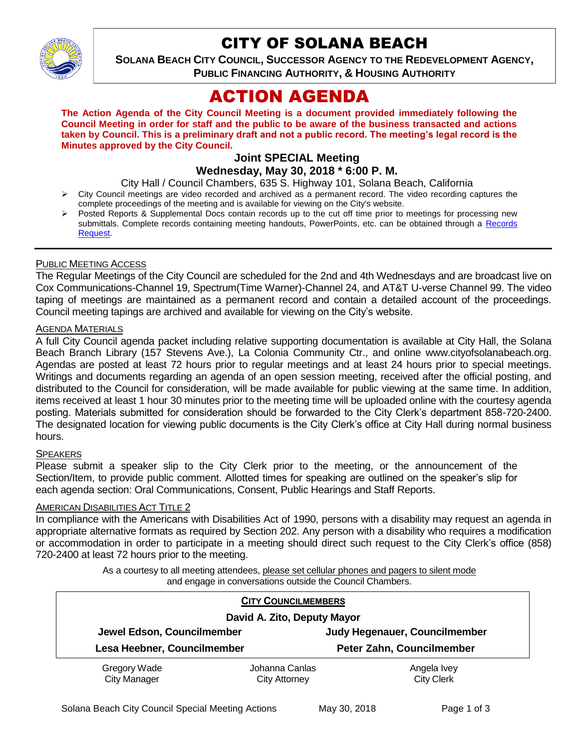

# CITY OF SOLANA BEACH

**SOLANA BEACH CITY COUNCIL, SUCCESSOR AGENCY TO THE REDEVELOPMENT AGENCY, PUBLIC FINANCING AUTHORITY, & HOUSING AUTHORITY** 

# ACTION AGENDA

**The Action Agenda of the City Council Meeting is a document provided immediately following the Council Meeting in order for staff and the public to be aware of the business transacted and actions taken by Council. This is a preliminary draft and not a public record. The meeting's legal record is the Minutes approved by the City Council.**

## **Joint SPECIAL Meeting**

## **Wednesday, May 30, 2018 \* 6:00 P. M.**

- City Hall / Council Chambers, 635 S. Highway 101, Solana Beach, California
- $\triangleright$  City Council meetings are video recorded and archived as a permanent record. The video recording captures the complete proceedings of the meeting and is available for viewing on the City's website.
- Posted Reports & Supplemental Docs contain records up to the cut off time prior to meetings for processing new submittals. Complete records containing meeting handouts, PowerPoints, etc. can be obtained through a Records [Request.](http://www.ci.solana-beach.ca.us/index.asp?SEC=F5D45D10-70CE-4291-A27C-7BD633FC6742&Type=B_BASIC)

#### PUBLIC MEETING ACCESS

The Regular Meetings of the City Council are scheduled for the 2nd and 4th Wednesdays and are broadcast live on Cox Communications-Channel 19, Spectrum(Time Warner)-Channel 24, and AT&T U-verse Channel 99. The video taping of meetings are maintained as a permanent record and contain a detailed account of the proceedings. Council meeting tapings are archived and available for viewing on the City's website.

## **AGENDA MATERIALS**

A full City Council agenda packet including relative supporting documentation is available at City Hall, the Solana Beach Branch Library (157 Stevens Ave.), La Colonia Community Ctr., and online www.cityofsolanabeach.org. Agendas are posted at least 72 hours prior to regular meetings and at least 24 hours prior to special meetings. Writings and documents regarding an agenda of an open session meeting, received after the official posting, and distributed to the Council for consideration, will be made available for public viewing at the same time. In addition, items received at least 1 hour 30 minutes prior to the meeting time will be uploaded online with the courtesy agenda posting. Materials submitted for consideration should be forwarded to the City Clerk's department 858-720-2400. The designated location for viewing public documents is the City Clerk's office at City Hall during normal business hours.

### **SPEAKERS**

Please submit a speaker slip to the City Clerk prior to the meeting, or the announcement of the Section/Item, to provide public comment. Allotted times for speaking are outlined on the speaker's slip for each agenda section: Oral Communications, Consent, Public Hearings and Staff Reports.

#### AMERICAN DISABILITIES ACT TITLE 2

In compliance with the Americans with Disabilities Act of 1990, persons with a disability may request an agenda in appropriate alternative formats as required by Section 202. Any person with a disability who requires a modification or accommodation in order to participate in a meeting should direct such request to the City Clerk's office (858) 720-2400 at least 72 hours prior to the meeting.

> As a courtesy to all meeting attendees, please set cellular phones and pagers to silent mode and engage in conversations outside the Council Chambers.

| <b>CITY COUNCILMEMBERS</b>          |                                        |                                  |
|-------------------------------------|----------------------------------------|----------------------------------|
| David A. Zito, Deputy Mayor         |                                        |                                  |
| Jewel Edson, Councilmember          |                                        | Judy Hegenauer, Councilmember    |
| Lesa Heebner, Councilmember         |                                        | Peter Zahn, Councilmember        |
| Gregory Wade<br><b>City Manager</b> | Johanna Canlas<br><b>City Attorney</b> | Angela Ivey<br><b>City Clerk</b> |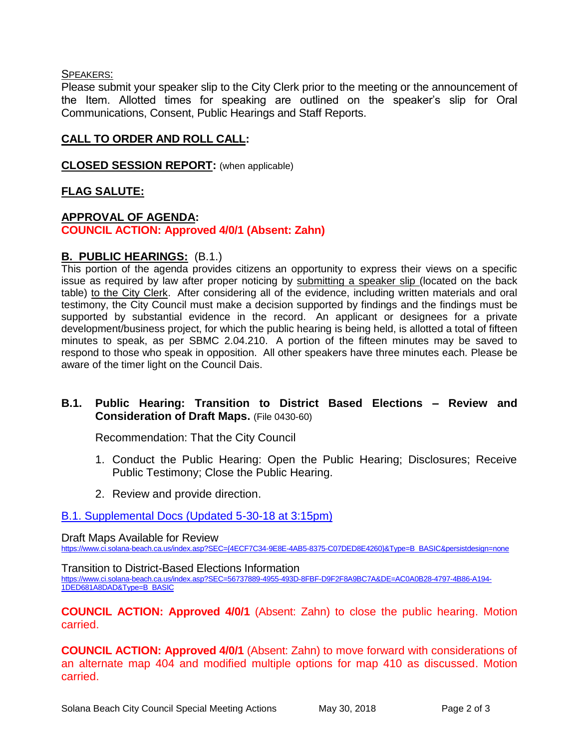#### SPEAKERS:

Please submit your speaker slip to the City Clerk prior to the meeting or the announcement of the Item. Allotted times for speaking are outlined on the speaker's slip for Oral Communications, Consent, Public Hearings and Staff Reports.

## **CALL TO ORDER AND ROLL CALL:**

**CLOSED SESSION REPORT:** (when applicable)

## **FLAG SALUTE:**

### **APPROVAL OF AGENDA: COUNCIL ACTION: Approved 4/0/1 (Absent: Zahn)**

#### **B. PUBLIC HEARINGS:** (B.1.)

This portion of the agenda provides citizens an opportunity to express their views on a specific issue as required by law after proper noticing by submitting a speaker slip (located on the back table) to the City Clerk. After considering all of the evidence, including written materials and oral testimony, the City Council must make a decision supported by findings and the findings must be supported by substantial evidence in the record. An applicant or designees for a private development/business project, for which the public hearing is being held, is allotted a total of fifteen minutes to speak, as per SBMC 2.04.210. A portion of the fifteen minutes may be saved to respond to those who speak in opposition. All other speakers have three minutes each. Please be aware of the timer light on the Council Dais.

#### **B.1. Public Hearing: Transition to District Based Elections – Review and Consideration of Draft Maps.** (File 0430-60)

Recommendation: That the City Council

- 1. Conduct the Public Hearing: Open the Public Hearing; Disclosures; Receive Public Testimony; Close the Public Hearing.
- 2. Review and provide direction.

#### [B.1. Supplemental Docs \(Updated 5-30-18](https://solanabeach.govoffice3.com/vertical/Sites/%7B840804C2-F869-4904-9AE3-720581350CE7%7D/uploads/B.1._Supplemental_Docs_(5-30-18_at_315pm).pdf) at 3:15pm)

#### Draft Maps Available for Review

[https://www.ci.solana-beach.ca.us/index.asp?SEC={4ECF7C34-9E8E-4AB5-8375-C07DED8E4260}&Type=B\\_BASIC&persistdesign=none](https://www.ci.solana-beach.ca.us/index.asp?SEC=%7b4ECF7C34-9E8E-4AB5-8375-C07DED8E4260%7d&Type=B_BASIC&persistdesign=none)

Transition to District-Based Elections Information

[https://www.ci.solana-beach.ca.us/index.asp?SEC=56737889-4955-493D-8FBF-D9F2F8A9BC7A&DE=AC0A0B28-4797-4B86-A194-](https://www.ci.solana-beach.ca.us/index.asp?SEC=56737889-4955-493D-8FBF-D9F2F8A9BC7A&DE=AC0A0B28-4797-4B86-A194-1DED681A8DAD&Type=B_BASIC) [1DED681A8DAD&Type=B\\_BASIC](https://www.ci.solana-beach.ca.us/index.asp?SEC=56737889-4955-493D-8FBF-D9F2F8A9BC7A&DE=AC0A0B28-4797-4B86-A194-1DED681A8DAD&Type=B_BASIC)

**COUNCIL ACTION: Approved 4/0/1** (Absent: Zahn) to close the public hearing. Motion carried.

**COUNCIL ACTION: Approved 4/0/1** (Absent: Zahn) to move forward with considerations of an alternate map 404 and modified multiple options for map 410 as discussed. Motion carried.